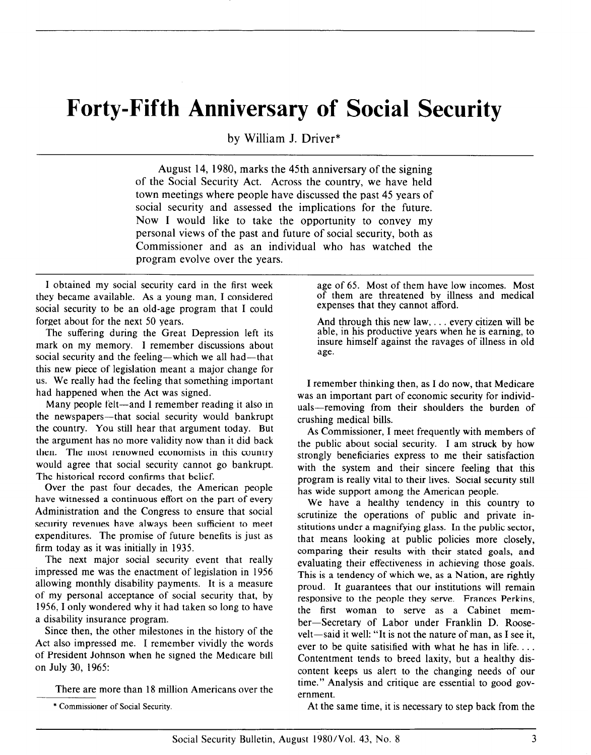## Forty-Fifth Anniversary of Social Security

by William J. Driver\*

August 14, 1980, marks the 45th anniversary of the signing of the Social Security Act. Across the country, we have held town meetings where people have discussed the past 45 years of social security and assessed the implications for the future. Now I would like to take the opportunity to convey my personal views of the past and future of social security, both as Commissioner and as an individual who has watched the program evolve over the years.

I obtained my social security card in the first week they became available. As a young man, I considered social security to be an old-age program that I could forget about for the next 50 years.

The suffering during the Great Depression left its mark on my memory. I remember discussions about social security and the feeling-which we all had-that this new piece of legislation meant a major change for us. We really had the feeling that something important had happened when the Act was signed.

Many people felt-and I remember reading it also in the newspapers-that social security would bankrupt the country. You still hear that argument today. But the argument has no more validity now than it did back then. The most renowned economists in this country would agree that social security cannot go bankrupt. The historical record confirms that belief.

Over the past four decades, the American people have witnessed a continuous effort on the part of every Administration and the Congress to ensure that social security revenues have always been sufficient to meet expenditures. The promise of future benefits is just as firm today as it was initially in 1935.

The next major social security event that really impressed me was the enactment of legislation in 1956 allowing monthly disability payments. It is a measure of my personal acceptance of social security that, by 1956, I only wondered why it had taken so long to have a disability insurance program.

Since then, the other milestones in the history of the Act also impressed me. I remember vividly the words of President Johnson when he signed the Medicare bill on July 30, 1965:

There are more than 18 million Americans over the

age of 65. Most of them have low incomes. Most of them are threatened by illness and medical expenses that they cannot afford.

And through this new law, . . . every citizen will be able, in his productive years when he is earning, to insure himself against the ravages of illness in old age.

I remember thinking then, as I do now, that Medicare was an important part of economic security for individuals-removing from their shoulders the burden of crushing medical bills.

As Commissioner, I meet frequently with members of the public about social security. I am struck by how strongly beneficiaries express to me their satisfaction with the system and their sincere feeling that this program is really vital to their lives. Social security still has wide support among the American people.

We have a healthy tendency in this country to scrutinize the operations of public and private institutions under a magnifying glass. In the public sector, that means looking at public policies more closely, comparing their results with their stated goals, and evaluating their effectiveness in achieving those goals. This is a tendency of which we, as a Nation, are rightly proud. It guarantees that our institutions will remain responsive to the people they serve. Frances Perkins, the first woman to serve as a Cabinet member-Secretary of Labor under Franklin D. Roosevelt-said it well: "It is not the nature of man, as I see it, ever to be quite satisified with what he has in life. . . . Contentment tends to breed laxity, but a healthy discontent keeps us alert to the changing needs of our time." Analysis and critique are essential to good government.

\* Commissioner of Social Security. At the same time, it is necessary to step back from the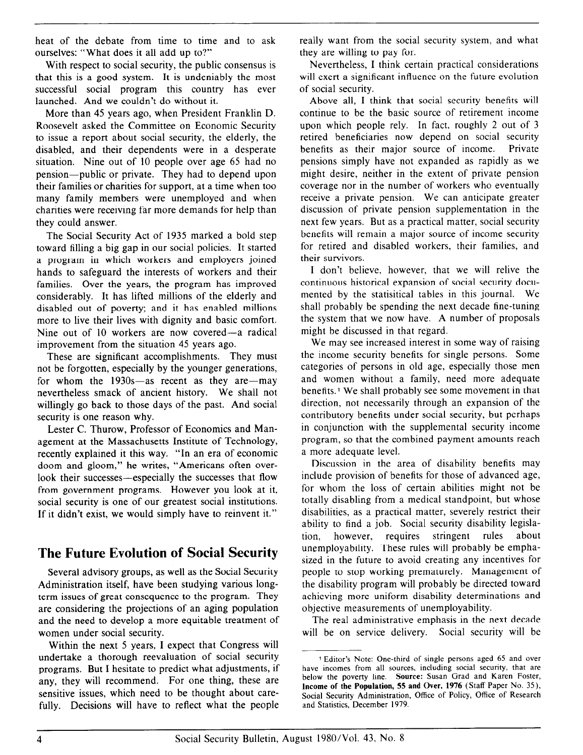heat of the debate from time to time and to ask ourselves: "What does it all add up to?"

With respect to social security, the public consensus is that this is a good system. It is undeniably the most successful social program this country has ever launched. And we couldn't do without it.

More than 45 years ago, when President Franklin D. Roosevelt asked the Committee on Economic Security to issue a report about social security, the elderly, the disabled, and their dependents were in a desperate situation. Nine out of 10 people over age 65 had no pension-public or private. They had to depend upon their families or charities for support, at a time when too many family members were unemployed and when charities were receiving far more demands for help than they could answer.

The Social Security Act of 1935 marked a bold step toward filling a big gap in our social policies. It started a program in which workers and employers joined hands to safeguard the interests of workers and their families. Over the years, the program has improved considerably. It has lifted millions of the elderly and disabled out of poverty; and it has enabled millions more to live their lives with dignity and basic comfort. Nine out of 10 workers are now covered-a radical improvement from the situation 45 years ago.

These are significant accomplishments. They must not be forgotten, especially by the younger generations, for whom the  $1930s$ -as recent as they are-may nevertheless smack of ancient history. We shall not willingly go back to those days of the past. And social security is one reason why.

Lester C. Thurow, Professor of Economics and Management at the Massachusetts Institute of Technology, recently explained it this way. "In an era of economic doom and gloom," he writes, "Americans often overlook their successes—especially the successes that flow from government programs. However you look at it, social security is one of our greatest social institutions. If it didn't exist, we would simply have to reinvent it."

## The Future Evolution of Social Security

Several advisory groups, as well as the Social Security Administration itself, have been studying various longterm issues of great consequence to the program. They are considering the projections of an aging population and the need to develop a more equitable treatment of women under social security.

Within the next 5 years, I expect that Congress will undertake a thorough reevaluation of social security programs. But I hesitate to predict what adjustments, if any, they will recommend. For one thing, these are sensitive issues, which need to be thought about carefully. Decisions will have to reflect what the people really want from the social security system, and what they are willing to pay for.

Nevertheless, I think certain practical considerations will exert a significant influence on the future evolution of social security.

Above all, I think that social security benefits will continue to be the basic source of retirement income upon which people rely. In fact, roughly 2 out of 3 retired beneficiaries now depend on social security benefits as their major source of income. Private pensions simply have not expanded as rapidly as we might desire, neither in the extent of private pension coverage nor in the number of workers who eventually receive a private pension. We can anticipate greater discussion of private pension supplementation in the next few years. But as a practical matter, social security benefits will remain a major source of income security for retired and disabled workers, their families, and their survivors.

I don't believe, however, that we will relive the continuous historical expansion of social security documented by the statisitical tables in this journal. We shall probably be spending the next decade fine-tuning the system that we now have. A number of proposals might be discussed in that regard.

We may see increased interest in some way of raising the income security benefits for single persons. Some categories of persons in old age, especially those men and women without a family, need more adequate benefits.1 We shall probably see some movement in that direction, not necessarily through an expansion of the contributory benefits under social security, but perhaps in conjunction with the supplemental security income program, so that the combined payment amounts reach a more adequate level.

Discussion in the area of disability benefits may include provision of benefits for those of advanced age, for whom the loss of certain abilities might not be totally disabling from a medical standpoint, but whose disabilities, as a practical matter, severely restrict their ability to find a job. Social security disability legislation, however, requires stringent rules about unemployability. These rules will probably be emphasized in the future to avoid creating any incentives for people to stop working prematurely. Management of the disability program will probably be directed toward achieving more uniform disability determinations and objective measurements of unemployability.

The real administrative emphasis in the next decade will be on service delivery. Social security will be

<sup>1</sup> Editor's Note: One-third of single persons aged 65 and over have incomes from all sources, including social security, that are below the poverty line. Source: Susan Grad and Karen Foster, Income of the Population, 55 and Over, 1976 (Staff Paper No. 35), Social Security Administration, Office of Policy, Office of Research and Statistics, December 1979.